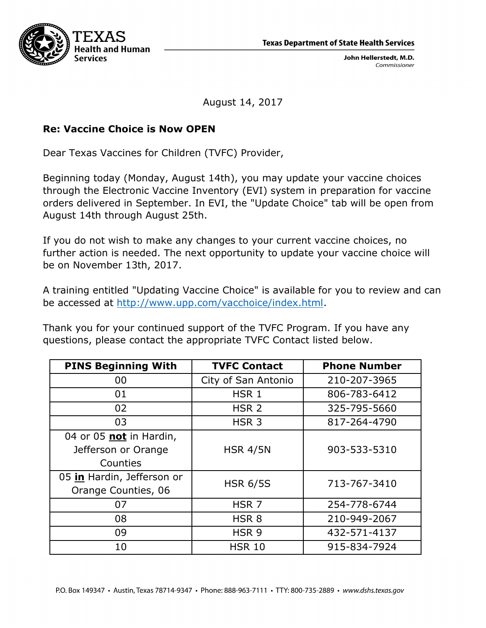**Texas Department of State Health Services** 



John Hellerstedt, M.D. Commissioner

August 14, 2017

## **Re: Vaccine Choice is Now OPEN**

Dear Texas Vaccines for Children (TVFC) Provider,

Beginning today (Monday, August 14th), you may update your vaccine choices through the Electronic Vaccine Inventory (EVI) system in preparation for vaccine orders delivered in September. In EVI, the "Update Choice" tab will be open from August 14th through August 25th.

If you do not wish to make any changes to your current vaccine choices, no further action is needed. The next opportunity to update your vaccine choice will be on November 13th, 2017.

A training entitled "Updating Vaccine Choice" is available for you to review and can be accessed at http://www.upp.com/vacchoice/index.html.

Thank you for your continued support of the TVFC Program. If you have any questions, please contact the appropriate TVFC Contact listed below.

| <b>PINS Beginning With</b> | <b>TVFC Contact</b> | <b>Phone Number</b> |
|----------------------------|---------------------|---------------------|
| 00                         | City of San Antonio | 210-207-3965        |
| 01                         | HSR <sub>1</sub>    | 806-783-6412        |
| 02                         | HSR <sub>2</sub>    | 325-795-5660        |
| 03                         | HSR <sub>3</sub>    | 817-264-4790        |
| 04 or 05 not in Hardin,    |                     |                     |
| Jefferson or Orange        | <b>HSR 4/5N</b>     | 903-533-5310        |
| Counties                   |                     |                     |
| 05 in Hardin, Jefferson or | <b>HSR 6/5S</b>     | 713-767-3410        |
| Orange Counties, 06        |                     |                     |
| 07                         | HSR <sub>7</sub>    | 254-778-6744        |
| 08                         | HSR <sub>8</sub>    | 210-949-2067        |
| 09                         | HSR <sub>9</sub>    | 432-571-4137        |
| 10                         | <b>HSR 10</b>       | 915-834-7924        |